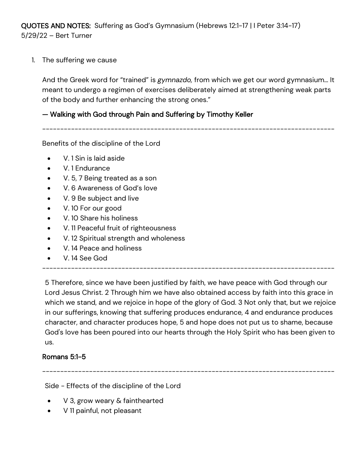QUOTES AND NOTES: Suffering as God's Gymnasium (Hebrews 12:1-17 | I Peter 3:14-17) 5/29/22 – Bert Turner

1. The suffering we cause

And the Greek word for "trained" is *gymnazdo,* from which we get our word gymnasium… It meant to undergo a regimen of exercises deliberately aimed at strengthening weak parts of the body and further enhancing the strong ones."

## — Walking with God through Pain and Suffering by Timothy Keller

---------------------------------------------------------------------------------

Benefits of the discipline of the Lord

- V. 1 Sin is laid aside
- V. 1 Endurance
- V. 5, 7 Being treated as a son
- V. 6 Awareness of God's love
- V. 9 Be subject and live
- V. 10 For our good
- V. 10 Share his holiness
- V. 11 Peaceful fruit of righteousness
- V. 12 Spiritual strength and wholeness
- V. 14 Peace and holiness
- V. 14 See God

--------------------------------------------------------------------------------- 5 Therefore, since we have been justified by faith, we have peace with God through our Lord Jesus Christ. 2 Through him we have also obtained access by faith into this grace in which we stand, and we rejoice in hope of the glory of God. 3 Not only that, but we rejoice in our sufferings, knowing that suffering produces endurance, 4 and endurance produces character, and character produces hope, 5 and hope does not put us to shame, because God's love has been poured into our hearts through the Holy Spirit who has been given to

## Romans 5:1-5

us.

---------------------------------------------------------------------------------

Side - Effects of the discipline of the Lord

- V 3, grow weary & fainthearted
- V 11 painful, not pleasant